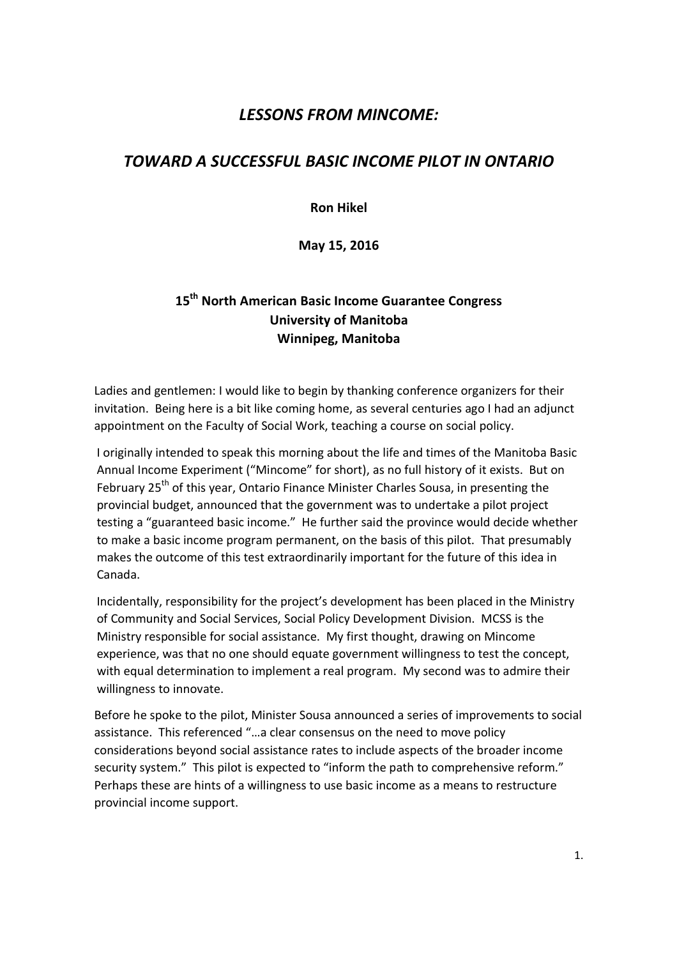# *LESSONS FROM MINCOME:*

# *TOWARD A SUCCESSFUL BASIC INCOME PILOT IN ONTARIO*

**Ron Hikel** 

**May 15, 2016** 

# **15th North American Basic Income Guarantee Congress University of Manitoba Winnipeg, Manitoba**

Ladies and gentlemen: I would like to begin by thanking conference organizers for their invitation. Being here is a bit like coming home, as several centuries ago I had an adjunct appointment on the Faculty of Social Work, teaching a course on social policy.

I originally intended to speak this morning about the life and times of the Manitoba Basic Annual Income Experiment ("Mincome" for short), as no full history of it exists. But on February 25<sup>th</sup> of this year, Ontario Finance Minister Charles Sousa, in presenting the provincial budget, announced that the government was to undertake a pilot project testing a "guaranteed basic income." He further said the province would decide whether to make a basic income program permanent, on the basis of this pilot. That presumably makes the outcome of this test extraordinarily important for the future of this idea in Canada.

Incidentally, responsibility for the project's development has been placed in the Ministry of Community and Social Services, Social Policy Development Division. MCSS is the Ministry responsible for social assistance. My first thought, drawing on Mincome experience, was that no one should equate government willingness to test the concept, with equal determination to implement a real program. My second was to admire their willingness to innovate.

Before he spoke to the pilot, Minister Sousa announced a series of improvements to social assistance. This referenced "…a clear consensus on the need to move policy considerations beyond social assistance rates to include aspects of the broader income security system." This pilot is expected to "inform the path to comprehensive reform." Perhaps these are hints of a willingness to use basic income as a means to restructure provincial income support.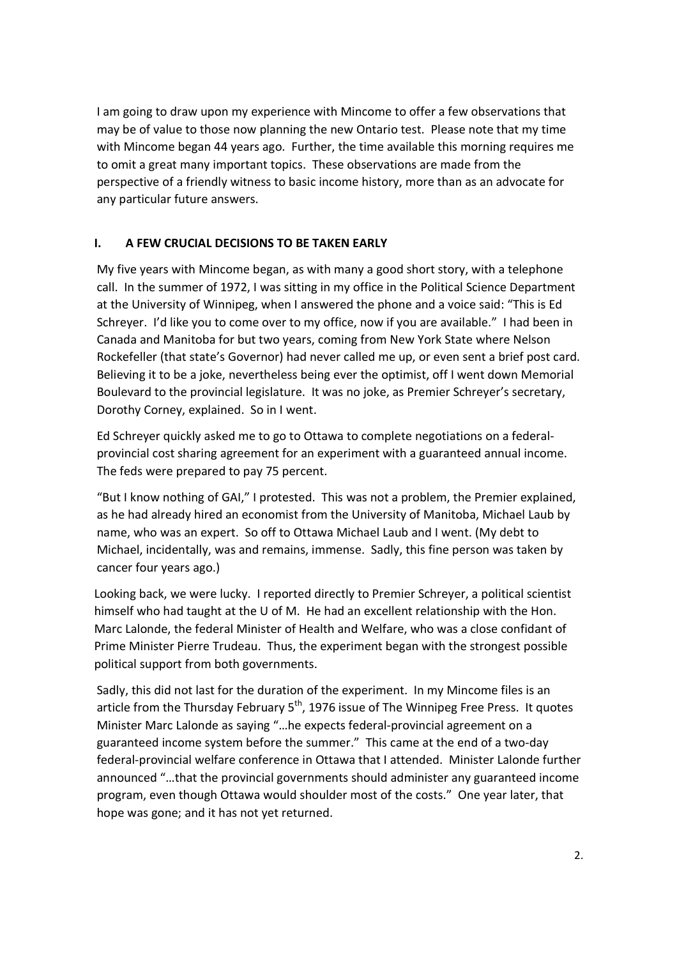I am going to draw upon my experience with Mincome to offer a few observations that may be of value to those now planning the new Ontario test. Please note that my time with Mincome began 44 years ago. Further, the time available this morning requires me to omit a great many important topics. These observations are made from the perspective of a friendly witness to basic income history, more than as an advocate for any particular future answers.

## **I. A FEW CRUCIAL DECISIONS TO BE TAKEN EARLY**

My five years with Mincome began, as with many a good short story, with a telephone call. In the summer of 1972, I was sitting in my office in the Political Science Department at the University of Winnipeg, when I answered the phone and a voice said: "This is Ed Schreyer. I'd like you to come over to my office, now if you are available." I had been in Canada and Manitoba for but two years, coming from New York State where Nelson Rockefeller (that state's Governor) had never called me up, or even sent a brief post card. Believing it to be a joke, nevertheless being ever the optimist, off I went down Memorial Boulevard to the provincial legislature. It was no joke, as Premier Schreyer's secretary, Dorothy Corney, explained. So in I went.

Ed Schreyer quickly asked me to go to Ottawa to complete negotiations on a federalprovincial cost sharing agreement for an experiment with a guaranteed annual income. The feds were prepared to pay 75 percent.

"But I know nothing of GAI," I protested. This was not a problem, the Premier explained, as he had already hired an economist from the University of Manitoba, Michael Laub by name, who was an expert. So off to Ottawa Michael Laub and I went. (My debt to Michael, incidentally, was and remains, immense. Sadly, this fine person was taken by cancer four years ago.)

Looking back, we were lucky. I reported directly to Premier Schreyer, a political scientist himself who had taught at the U of M. He had an excellent relationship with the Hon. Marc Lalonde, the federal Minister of Health and Welfare, who was a close confidant of Prime Minister Pierre Trudeau. Thus, the experiment began with the strongest possible political support from both governments.

Sadly, this did not last for the duration of the experiment. In my Mincome files is an article from the Thursday February  $5<sup>th</sup>$ , 1976 issue of The Winnipeg Free Press. It quotes Minister Marc Lalonde as saying "…he expects federal-provincial agreement on a guaranteed income system before the summer." This came at the end of a two-day federal-provincial welfare conference in Ottawa that I attended. Minister Lalonde further announced "…that the provincial governments should administer any guaranteed income program, even though Ottawa would shoulder most of the costs." One year later, that hope was gone; and it has not yet returned.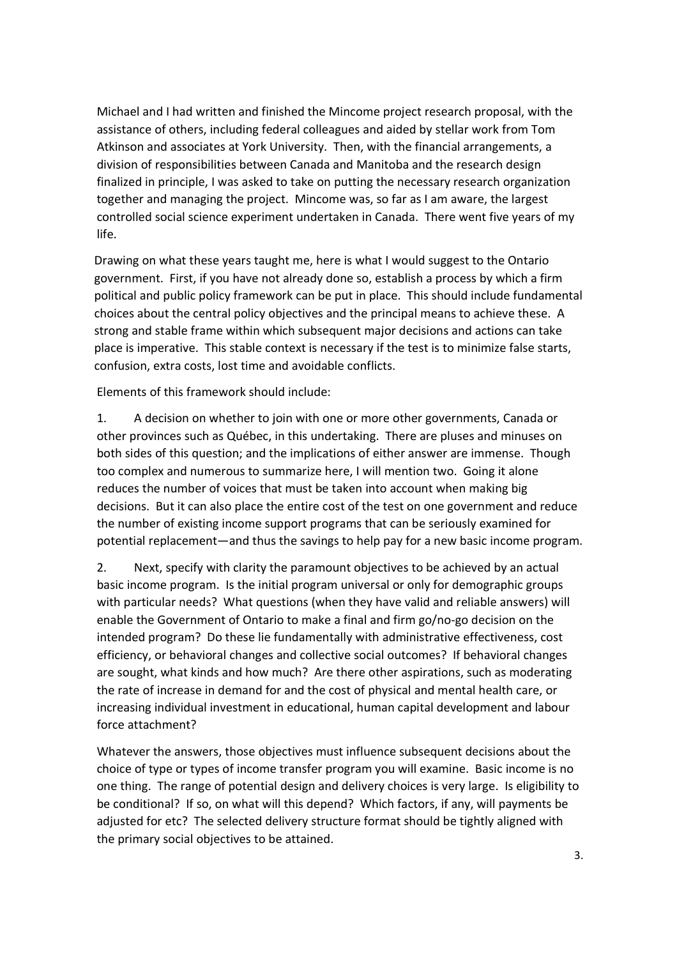Michael and I had written and finished the Mincome project research proposal, with the assistance of others, including federal colleagues and aided by stellar work from Tom Atkinson and associates at York University. Then, with the financial arrangements, a division of responsibilities between Canada and Manitoba and the research design finalized in principle, I was asked to take on putting the necessary research organization together and managing the project. Mincome was, so far as I am aware, the largest controlled social science experiment undertaken in Canada. There went five years of my life.

Drawing on what these years taught me, here is what I would suggest to the Ontario government. First, if you have not already done so, establish a process by which a firm political and public policy framework can be put in place. This should include fundamental choices about the central policy objectives and the principal means to achieve these. A strong and stable frame within which subsequent major decisions and actions can take place is imperative. This stable context is necessary if the test is to minimize false starts, confusion, extra costs, lost time and avoidable conflicts.

Elements of this framework should include:

1. A decision on whether to join with one or more other governments, Canada or other provinces such as Québec, in this undertaking. There are pluses and minuses on both sides of this question; and the implications of either answer are immense. Though too complex and numerous to summarize here, I will mention two. Going it alone reduces the number of voices that must be taken into account when making big decisions. But it can also place the entire cost of the test on one government and reduce the number of existing income support programs that can be seriously examined for potential replacement—and thus the savings to help pay for a new basic income program.

2. Next, specify with clarity the paramount objectives to be achieved by an actual basic income program. Is the initial program universal or only for demographic groups with particular needs? What questions (when they have valid and reliable answers) will enable the Government of Ontario to make a final and firm go/no-go decision on the intended program? Do these lie fundamentally with administrative effectiveness, cost efficiency, or behavioral changes and collective social outcomes? If behavioral changes are sought, what kinds and how much? Are there other aspirations, such as moderating the rate of increase in demand for and the cost of physical and mental health care, or increasing individual investment in educational, human capital development and labour force attachment?

Whatever the answers, those objectives must influence subsequent decisions about the choice of type or types of income transfer program you will examine. Basic income is no one thing. The range of potential design and delivery choices is very large. Is eligibility to be conditional? If so, on what will this depend? Which factors, if any, will payments be adjusted for etc? The selected delivery structure format should be tightly aligned with the primary social objectives to be attained.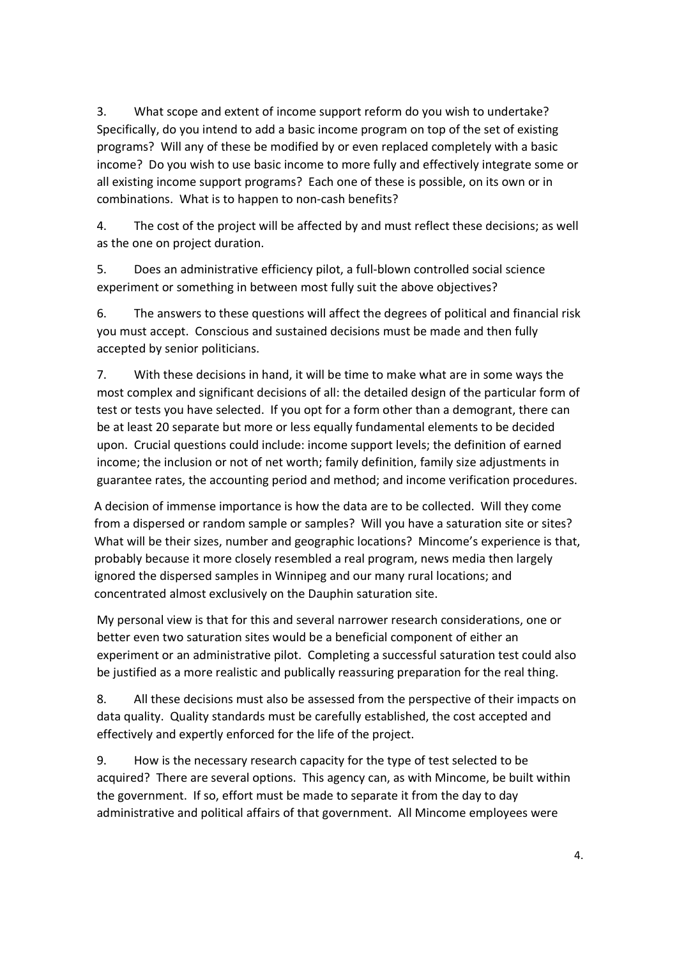3. What scope and extent of income support reform do you wish to undertake? Specifically, do you intend to add a basic income program on top of the set of existing programs? Will any of these be modified by or even replaced completely with a basic income? Do you wish to use basic income to more fully and effectively integrate some or all existing income support programs? Each one of these is possible, on its own or in combinations. What is to happen to non-cash benefits?

4. The cost of the project will be affected by and must reflect these decisions; as well as the one on project duration.

5. Does an administrative efficiency pilot, a full-blown controlled social science experiment or something in between most fully suit the above objectives?

6. The answers to these questions will affect the degrees of political and financial risk you must accept. Conscious and sustained decisions must be made and then fully accepted by senior politicians.

7. With these decisions in hand, it will be time to make what are in some ways the most complex and significant decisions of all: the detailed design of the particular form of test or tests you have selected. If you opt for a form other than a demogrant, there can be at least 20 separate but more or less equally fundamental elements to be decided upon. Crucial questions could include: income support levels; the definition of earned income; the inclusion or not of net worth; family definition, family size adjustments in guarantee rates, the accounting period and method; and income verification procedures.

A decision of immense importance is how the data are to be collected. Will they come from a dispersed or random sample or samples? Will you have a saturation site or sites? What will be their sizes, number and geographic locations? Mincome's experience is that, probably because it more closely resembled a real program, news media then largely ignored the dispersed samples in Winnipeg and our many rural locations; and concentrated almost exclusively on the Dauphin saturation site.

My personal view is that for this and several narrower research considerations, one or better even two saturation sites would be a beneficial component of either an experiment or an administrative pilot. Completing a successful saturation test could also be justified as a more realistic and publically reassuring preparation for the real thing.

8. All these decisions must also be assessed from the perspective of their impacts on data quality. Quality standards must be carefully established, the cost accepted and effectively and expertly enforced for the life of the project.

9. How is the necessary research capacity for the type of test selected to be acquired? There are several options. This agency can, as with Mincome, be built within the government. If so, effort must be made to separate it from the day to day administrative and political affairs of that government. All Mincome employees were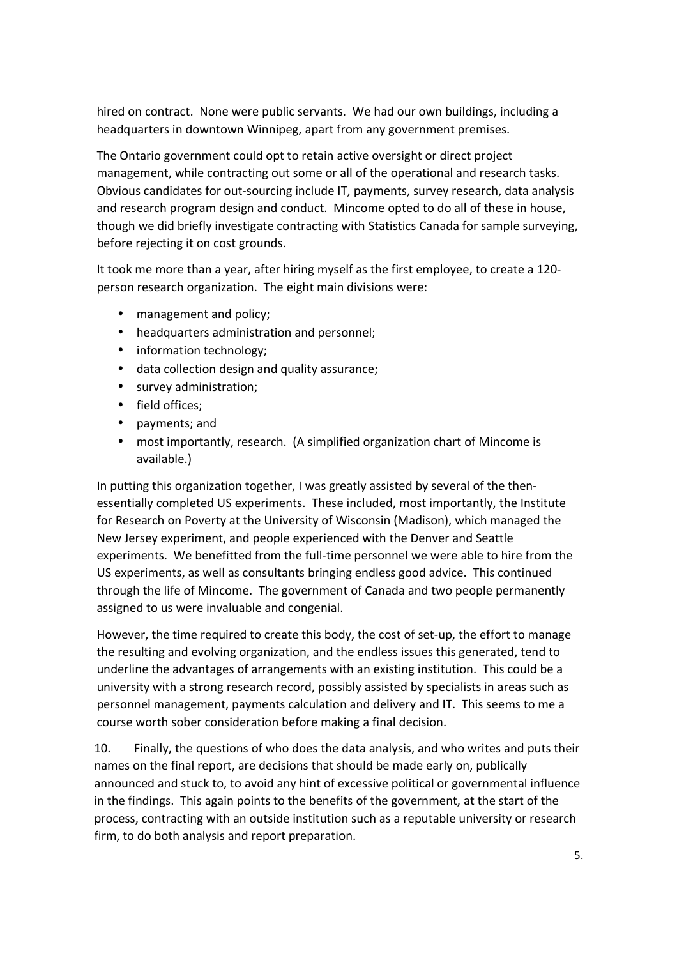hired on contract. None were public servants. We had our own buildings, including a headquarters in downtown Winnipeg, apart from any government premises.

The Ontario government could opt to retain active oversight or direct project management, while contracting out some or all of the operational and research tasks. Obvious candidates for out-sourcing include IT, payments, survey research, data analysis and research program design and conduct. Mincome opted to do all of these in house, though we did briefly investigate contracting with Statistics Canada for sample surveying, before rejecting it on cost grounds.

It took me more than a year, after hiring myself as the first employee, to create a 120 person research organization. The eight main divisions were:

- management and policy;
- headquarters administration and personnel;
- information technology;
- data collection design and quality assurance;
- survey administration;
- field offices;
- payments; and
- most importantly, research. (A simplified organization chart of Mincome is available.)

In putting this organization together, I was greatly assisted by several of the thenessentially completed US experiments. These included, most importantly, the Institute for Research on Poverty at the University of Wisconsin (Madison), which managed the New Jersey experiment, and people experienced with the Denver and Seattle experiments. We benefitted from the full-time personnel we were able to hire from the US experiments, as well as consultants bringing endless good advice. This continued through the life of Mincome. The government of Canada and two people permanently assigned to us were invaluable and congenial.

However, the time required to create this body, the cost of set-up, the effort to manage the resulting and evolving organization, and the endless issues this generated, tend to underline the advantages of arrangements with an existing institution. This could be a university with a strong research record, possibly assisted by specialists in areas such as personnel management, payments calculation and delivery and IT. This seems to me a course worth sober consideration before making a final decision.

10. Finally, the questions of who does the data analysis, and who writes and puts their names on the final report, are decisions that should be made early on, publically announced and stuck to, to avoid any hint of excessive political or governmental influence in the findings. This again points to the benefits of the government, at the start of the process, contracting with an outside institution such as a reputable university or research firm, to do both analysis and report preparation.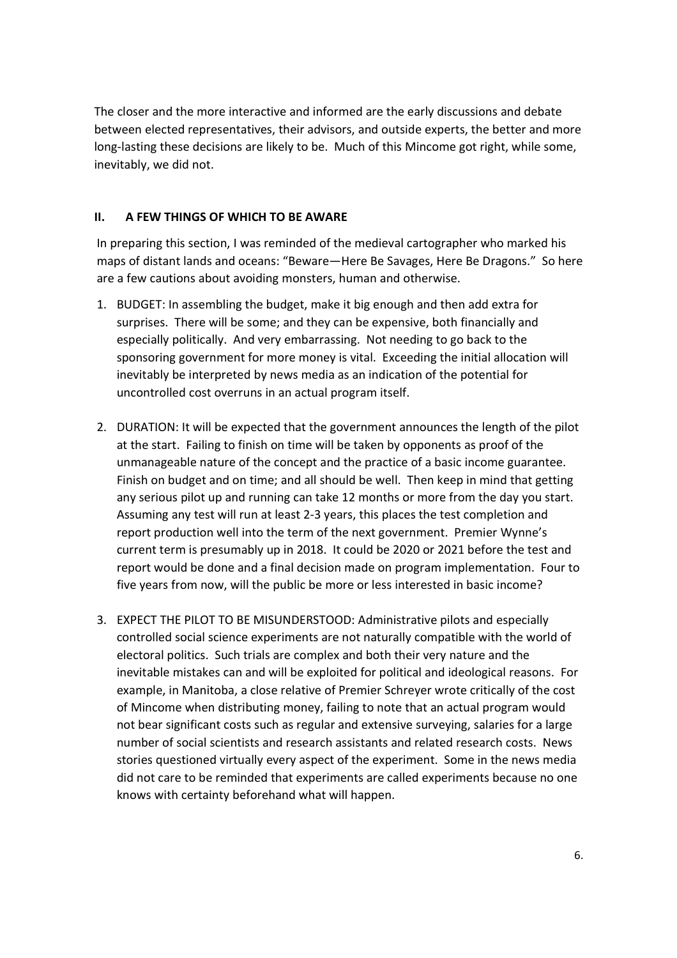The closer and the more interactive and informed are the early discussions and debate between elected representatives, their advisors, and outside experts, the better and more long-lasting these decisions are likely to be. Much of this Mincome got right, while some, inevitably, we did not.

### **II. A FEW THINGS OF WHICH TO BE AWARE**

In preparing this section, I was reminded of the medieval cartographer who marked his maps of distant lands and oceans: "Beware—Here Be Savages, Here Be Dragons." So here are a few cautions about avoiding monsters, human and otherwise.

- 1. BUDGET: In assembling the budget, make it big enough and then add extra for surprises. There will be some; and they can be expensive, both financially and especially politically. And very embarrassing. Not needing to go back to the sponsoring government for more money is vital. Exceeding the initial allocation will inevitably be interpreted by news media as an indication of the potential for uncontrolled cost overruns in an actual program itself.
- 2. DURATION: It will be expected that the government announces the length of the pilot at the start. Failing to finish on time will be taken by opponents as proof of the unmanageable nature of the concept and the practice of a basic income guarantee. Finish on budget and on time; and all should be well. Then keep in mind that getting any serious pilot up and running can take 12 months or more from the day you start. Assuming any test will run at least 2-3 years, this places the test completion and report production well into the term of the next government. Premier Wynne's current term is presumably up in 2018. It could be 2020 or 2021 before the test and report would be done and a final decision made on program implementation. Four to five years from now, will the public be more or less interested in basic income?
- 3. EXPECT THE PILOT TO BE MISUNDERSTOOD: Administrative pilots and especially controlled social science experiments are not naturally compatible with the world of electoral politics. Such trials are complex and both their very nature and the inevitable mistakes can and will be exploited for political and ideological reasons. For example, in Manitoba, a close relative of Premier Schreyer wrote critically of the cost of Mincome when distributing money, failing to note that an actual program would not bear significant costs such as regular and extensive surveying, salaries for a large number of social scientists and research assistants and related research costs. News stories questioned virtually every aspect of the experiment. Some in the news media did not care to be reminded that experiments are called experiments because no one knows with certainty beforehand what will happen.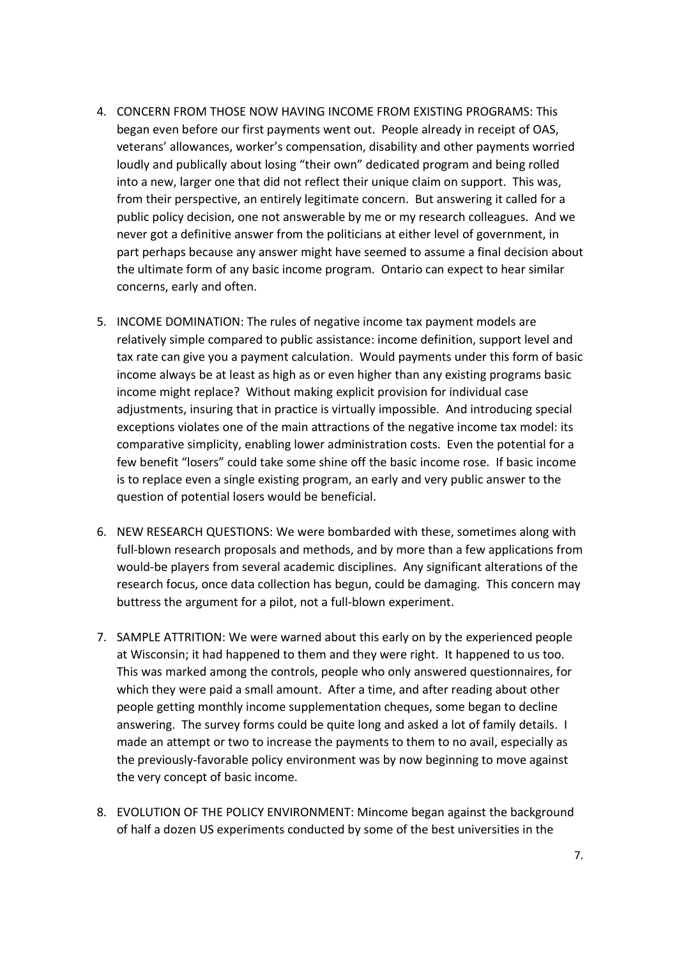- 4. CONCERN FROM THOSE NOW HAVING INCOME FROM EXISTING PROGRAMS: This began even before our first payments went out. People already in receipt of OAS, veterans' allowances, worker's compensation, disability and other payments worried loudly and publically about losing "their own" dedicated program and being rolled into a new, larger one that did not reflect their unique claim on support. This was, from their perspective, an entirely legitimate concern. But answering it called for a public policy decision, one not answerable by me or my research colleagues. And we never got a definitive answer from the politicians at either level of government, in part perhaps because any answer might have seemed to assume a final decision about the ultimate form of any basic income program. Ontario can expect to hear similar concerns, early and often.
- 5. INCOME DOMINATION: The rules of negative income tax payment models are relatively simple compared to public assistance: income definition, support level and tax rate can give you a payment calculation. Would payments under this form of basic income always be at least as high as or even higher than any existing programs basic income might replace? Without making explicit provision for individual case adjustments, insuring that in practice is virtually impossible. And introducing special exceptions violates one of the main attractions of the negative income tax model: its comparative simplicity, enabling lower administration costs. Even the potential for a few benefit "losers" could take some shine off the basic income rose. If basic income is to replace even a single existing program, an early and very public answer to the question of potential losers would be beneficial.
- 6. NEW RESEARCH QUESTIONS: We were bombarded with these, sometimes along with full-blown research proposals and methods, and by more than a few applications from would-be players from several academic disciplines. Any significant alterations of the research focus, once data collection has begun, could be damaging. This concern may buttress the argument for a pilot, not a full-blown experiment.
- 7. SAMPLE ATTRITION: We were warned about this early on by the experienced people at Wisconsin; it had happened to them and they were right. It happened to us too. This was marked among the controls, people who only answered questionnaires, for which they were paid a small amount. After a time, and after reading about other people getting monthly income supplementation cheques, some began to decline answering. The survey forms could be quite long and asked a lot of family details. I made an attempt or two to increase the payments to them to no avail, especially as the previously-favorable policy environment was by now beginning to move against the very concept of basic income.
- 8. EVOLUTION OF THE POLICY ENVIRONMENT: Mincome began against the background of half a dozen US experiments conducted by some of the best universities in the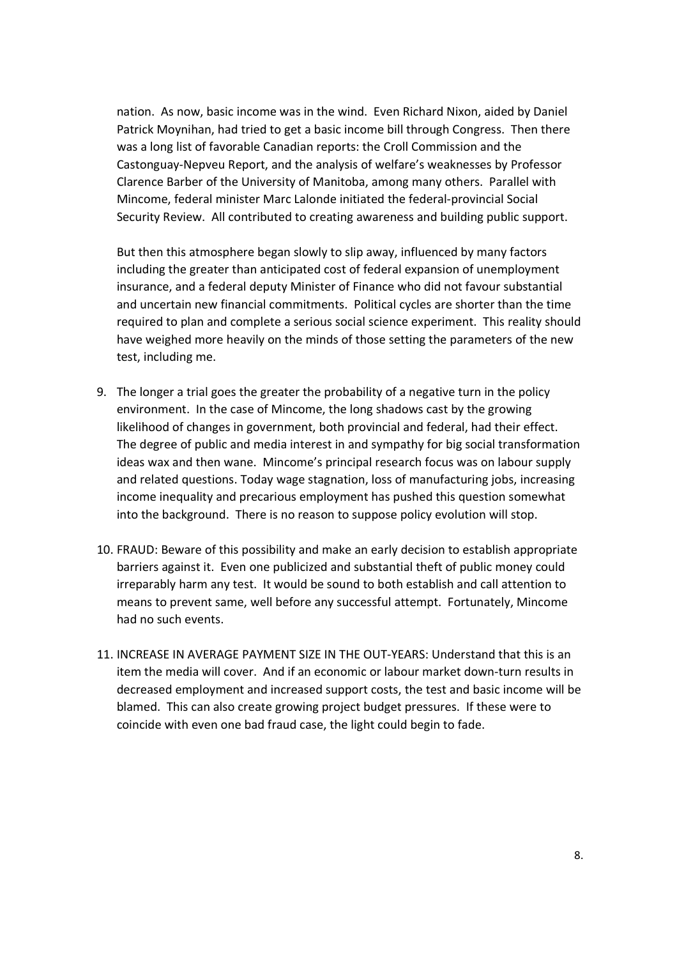nation. As now, basic income was in the wind. Even Richard Nixon, aided by Daniel Patrick Moynihan, had tried to get a basic income bill through Congress. Then there was a long list of favorable Canadian reports: the Croll Commission and the Castonguay-Nepveu Report, and the analysis of welfare's weaknesses by Professor Clarence Barber of the University of Manitoba, among many others. Parallel with Mincome, federal minister Marc Lalonde initiated the federal-provincial Social Security Review. All contributed to creating awareness and building public support.

But then this atmosphere began slowly to slip away, influenced by many factors including the greater than anticipated cost of federal expansion of unemployment insurance, and a federal deputy Minister of Finance who did not favour substantial and uncertain new financial commitments. Political cycles are shorter than the time required to plan and complete a serious social science experiment. This reality should have weighed more heavily on the minds of those setting the parameters of the new test, including me.

- 9. The longer a trial goes the greater the probability of a negative turn in the policy environment. In the case of Mincome, the long shadows cast by the growing likelihood of changes in government, both provincial and federal, had their effect. The degree of public and media interest in and sympathy for big social transformation ideas wax and then wane. Mincome's principal research focus was on labour supply and related questions. Today wage stagnation, loss of manufacturing jobs, increasing income inequality and precarious employment has pushed this question somewhat into the background. There is no reason to suppose policy evolution will stop.
- 10. FRAUD: Beware of this possibility and make an early decision to establish appropriate barriers against it. Even one publicized and substantial theft of public money could irreparably harm any test. It would be sound to both establish and call attention to means to prevent same, well before any successful attempt. Fortunately, Mincome had no such events.
- 11. INCREASE IN AVERAGE PAYMENT SIZE IN THE OUT-YEARS: Understand that this is an item the media will cover. And if an economic or labour market down-turn results in decreased employment and increased support costs, the test and basic income will be blamed. This can also create growing project budget pressures. If these were to coincide with even one bad fraud case, the light could begin to fade.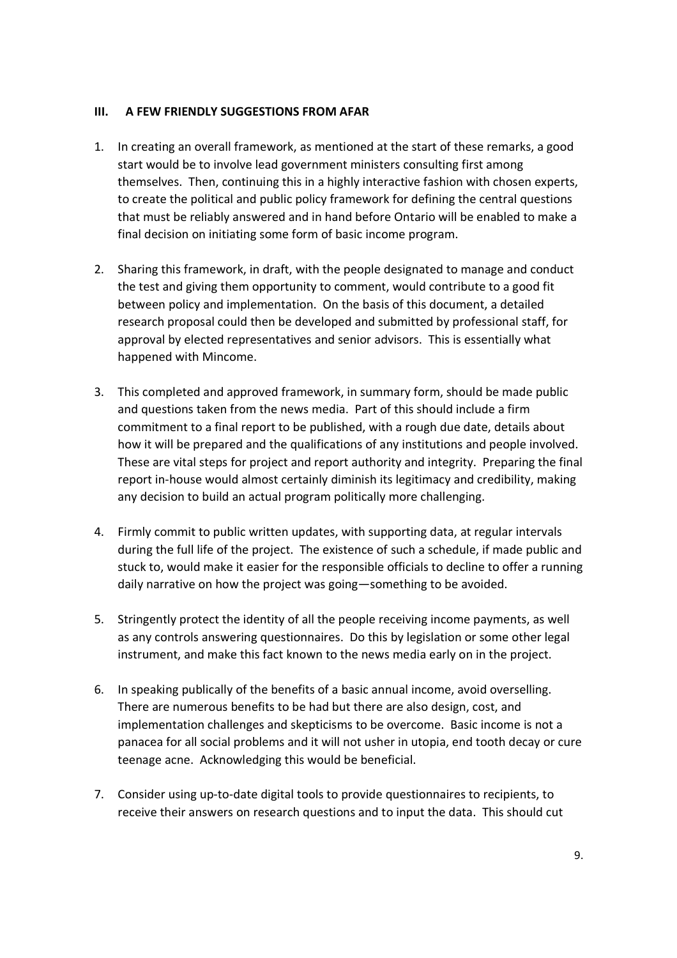#### **III. A FEW FRIENDLY SUGGESTIONS FROM AFAR**

- 1. In creating an overall framework, as mentioned at the start of these remarks, a good start would be to involve lead government ministers consulting first among themselves. Then, continuing this in a highly interactive fashion with chosen experts, to create the political and public policy framework for defining the central questions that must be reliably answered and in hand before Ontario will be enabled to make a final decision on initiating some form of basic income program.
- 2. Sharing this framework, in draft, with the people designated to manage and conduct the test and giving them opportunity to comment, would contribute to a good fit between policy and implementation. On the basis of this document, a detailed research proposal could then be developed and submitted by professional staff, for approval by elected representatives and senior advisors. This is essentially what happened with Mincome.
- 3. This completed and approved framework, in summary form, should be made public and questions taken from the news media. Part of this should include a firm commitment to a final report to be published, with a rough due date, details about how it will be prepared and the qualifications of any institutions and people involved. These are vital steps for project and report authority and integrity. Preparing the final report in-house would almost certainly diminish its legitimacy and credibility, making any decision to build an actual program politically more challenging.
- 4. Firmly commit to public written updates, with supporting data, at regular intervals during the full life of the project. The existence of such a schedule, if made public and stuck to, would make it easier for the responsible officials to decline to offer a running daily narrative on how the project was going—something to be avoided.
- 5. Stringently protect the identity of all the people receiving income payments, as well as any controls answering questionnaires. Do this by legislation or some other legal instrument, and make this fact known to the news media early on in the project.
- 6. In speaking publically of the benefits of a basic annual income, avoid overselling. There are numerous benefits to be had but there are also design, cost, and implementation challenges and skepticisms to be overcome. Basic income is not a panacea for all social problems and it will not usher in utopia, end tooth decay or cure teenage acne. Acknowledging this would be beneficial.
- 7. Consider using up-to-date digital tools to provide questionnaires to recipients, to receive their answers on research questions and to input the data. This should cut